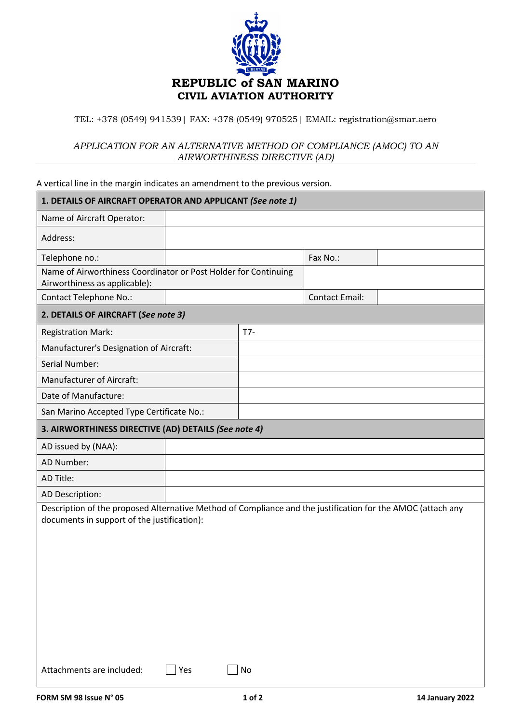

## TEL: +378 (0549) 941539| FAX: +378 (0549) 970525| EMAIL: registration@smar.aero

## *APPLICATION FOR AN ALTERNATIVE METHOD OF COMPLIANCE (AMOC) TO AN AIRWORTHINESS DIRECTIVE (AD)*

A vertical line in the margin indicates an amendment to the previous version.

| 1. DETAILS OF AIRCRAFT OPERATOR AND APPLICANT (See note 1)                                                                                                 |     |     |                       |  |  |  |
|------------------------------------------------------------------------------------------------------------------------------------------------------------|-----|-----|-----------------------|--|--|--|
| Name of Aircraft Operator:                                                                                                                                 |     |     |                       |  |  |  |
| Address:                                                                                                                                                   |     |     |                       |  |  |  |
| Telephone no.:                                                                                                                                             |     |     | Fax No.:              |  |  |  |
| Name of Airworthiness Coordinator or Post Holder for Continuing                                                                                            |     |     |                       |  |  |  |
| Airworthiness as applicable):<br><b>Contact Telephone No.:</b>                                                                                             |     |     | <b>Contact Email:</b> |  |  |  |
|                                                                                                                                                            |     |     |                       |  |  |  |
| 2. DETAILS OF AIRCRAFT (See note 3)                                                                                                                        |     |     |                       |  |  |  |
| <b>Registration Mark:</b>                                                                                                                                  |     | T7- |                       |  |  |  |
| Manufacturer's Designation of Aircraft:                                                                                                                    |     |     |                       |  |  |  |
| Serial Number:                                                                                                                                             |     |     |                       |  |  |  |
| Manufacturer of Aircraft:                                                                                                                                  |     |     |                       |  |  |  |
| Date of Manufacture:                                                                                                                                       |     |     |                       |  |  |  |
| San Marino Accepted Type Certificate No.:                                                                                                                  |     |     |                       |  |  |  |
| 3. AIRWORTHINESS DIRECTIVE (AD) DETAILS (See note 4)                                                                                                       |     |     |                       |  |  |  |
| AD issued by (NAA):                                                                                                                                        |     |     |                       |  |  |  |
| AD Number:                                                                                                                                                 |     |     |                       |  |  |  |
| AD Title:                                                                                                                                                  |     |     |                       |  |  |  |
| AD Description:                                                                                                                                            |     |     |                       |  |  |  |
| Description of the proposed Alternative Method of Compliance and the justification for the AMOC (attach any<br>documents in support of the justification): |     |     |                       |  |  |  |
| Attachments are included:                                                                                                                                  | Yes | No  |                       |  |  |  |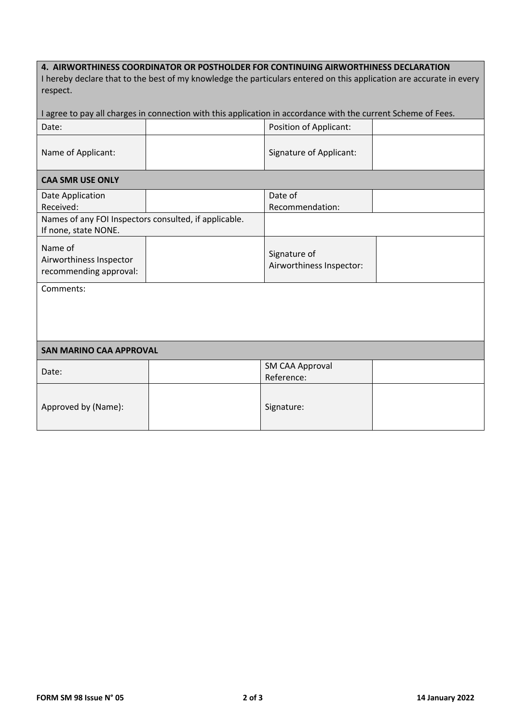## **4. AIRWORTHINESS COORDINATOR OR POSTHOLDER FOR CONTINUING AIRWORTHINESS DECLARATION**

| I hereby declare that to the best of my knowledge the particulars entered on this application are accurate in every |
|---------------------------------------------------------------------------------------------------------------------|
| respect.                                                                                                            |

| agree to pay all charges in connection with this application in accordance with the current Scheme of Fees. |  |                                          |  |  |  |  |
|-------------------------------------------------------------------------------------------------------------|--|------------------------------------------|--|--|--|--|
| Date:                                                                                                       |  | Position of Applicant:                   |  |  |  |  |
| Name of Applicant:                                                                                          |  | Signature of Applicant:                  |  |  |  |  |
| <b>CAA SMR USE ONLY</b>                                                                                     |  |                                          |  |  |  |  |
| Date Application<br>Received:                                                                               |  | Date of<br>Recommendation:               |  |  |  |  |
| Names of any FOI Inspectors consulted, if applicable.<br>If none, state NONE.                               |  |                                          |  |  |  |  |
| Name of<br>Airworthiness Inspector<br>recommending approval:                                                |  | Signature of<br>Airworthiness Inspector: |  |  |  |  |
| Comments:                                                                                                   |  |                                          |  |  |  |  |
| <b>SAN MARINO CAA APPROVAL</b>                                                                              |  |                                          |  |  |  |  |
| Date:                                                                                                       |  | <b>SM CAA Approval</b><br>Reference:     |  |  |  |  |
| Approved by (Name):                                                                                         |  | Signature:                               |  |  |  |  |